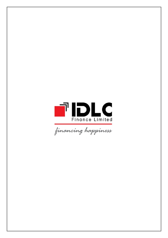

financing happiness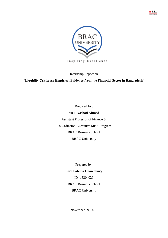



Internship Report on

**"Liquidity Crisis: An Empirical Evidence from the Financial Sector in Bangladesh"**

Prepared for:

### **Mr Riyashad Ahmed**

Assistant Professor of Finance & Co-Ordinator, Executive MBA Program BRAC Business School BRAC University

Prepared by:

### **Sara Fatema Chowdhury**

ID- 15304029 BRAC Business School BRAC University

November 29, 2018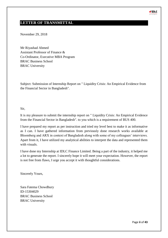# <span id="page-2-0"></span>**LETTER OF TRANSMITTAL**

November 29, 2018

Mr Riyashad Ahmed Assistant Professor of Finance & Co-Ordinator, Executive MBA Program BRAC Business School BRAC University

Subject: Submission of Internship Report on " Liquidity Crisis: An Empirical Evidence from the Financial Sector in Bangladesh".

#### Sir,

It is my pleasure to submit the internship report on " Liquidity Crisis: An Empirical Evidence from the Financial Sector in Bangladesh". to you which is a requirement of BUS 400.

I have prepared my report as per instruction and tried my level best to make it as informative as I can. I have gathered information from previously done research works available at Bloomberg and ARX in context of Bangladesh along with some of my colleagues' interviews. Apart from it, I have utilized my analytical abilities to interpret the data and represented them with visuals.

I have done my Internship at IDLC Finance Limited. Being a part of the industry, it helped me a lot to generate the report. I sincerely hope it will meet your expectation. However, the report is not free from flaws, I urge you accept it with thoughtful considerations.

Sincerely Yours,

Sara Fatema Chowdhury ID-15304029 BRAC Business School BRAC University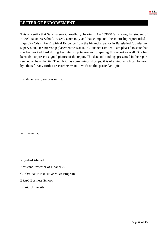

# <span id="page-3-0"></span>**LETTER OF ENDORSEMENT**

This to certify that Sara Fatema Chowdhury, bearing  $ID - 15304029$ , is a regular student of BRAC Business School, BRAC University and has completed the internship report titled " Liquidity Crisis: An Empirical Evidence from the Financial Sector in Bangladesh". under my supervision. Her internship placement was at IDLC Finance Limited. I am pleased to state that she has worked hard during her internship tenure and preparing this report as well. She has been able to present a good picture of the report. The data and findings presented in the report seemed to be authentic. Though it has some minor slip-ups, it is of a kind which can be used by others for any further researchers want to work on this particular topic.

I wish her every success in life.

With regards,

Riyashad Ahmed Assistant Professor of Finance & Co-Ordinator, Executive MBA Program BRAC Business School BRAC University

Page **iii** of **43**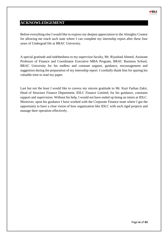

# <span id="page-4-0"></span>**ACKNOWLEDGEMENT**

Before everything else I would like to express my deepest appreciation to the Almighty Creator for allowing me reach such state where I can complete my internship report after these four years of Undergrad life at BRAC University.

A special gratitude and indebtedness to my supervisor faculty, Mr. Riyashad Ahmed, Assistant Professor of Finance and Coordinator Executive MBA Program, BRAC Business School, BRAC University for his endless and constant support, guidance, encouragement and suggestion during the preparation of my internship report. I cordially thank him for sparing his valuable time to read my paper.

Last but not the least I would like to convey my sincere gratitude to Mr. Kazi Farhan Zakir, Head of Structure Finance Department, IDLC Finance Limited; for his guidance, constants support and supervision. Without his help, I would not have ended up being an intern at IDLC. Moreover, upon his guidance I have worked with the Corporate Finance team where I got the opportunity to have a clear vision of how organization like IDLC with such rigid projects and manage their operation effectively.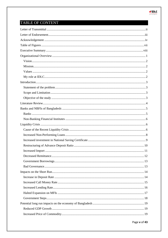

# TABLE OF CONTENT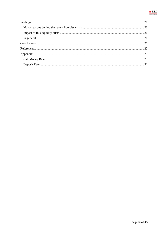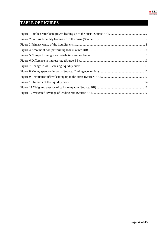<span id="page-7-0"></span>

 $\blacksquare$  DLC ÿ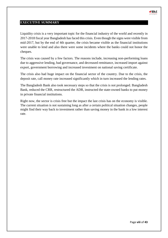

#### <span id="page-8-0"></span>**EXECUTIVE SUMMARY**

Liquidity crisis is a very important topic for the financial industry of the world and recently in 2017-2018 fiscal year Bangladesh has faced this crisis. Even though the signs were visible from mid-2017, but by the end of 4th quarter, the crisis became visible as the financial institutions were unable to lend and also there were some incidents where the banks could not honor the cheques.

The crisis was caused by a few factors. The reasons include, increasing non-performing loans due to aggressive lending, bad governance, and decreased remittance, increased import against export, government borrowing and increased investment on national saving certificate.

The crisis also had huge impact on the financial sector of the country. Due to the crisis, the deposit rate, call money rate increased significantly which in turn increased the lending rates.

The Bangladesh Bank also took necessary steps so that the crisis is not prolonged. Bangladesh Bank, reduced the CRR, restructured the ADR, instructed the state-owned banks to put money in private financial institutions.

Right now, the sector is crisis free but the impact the last crisis has on the economy is visible. The current situation is not sustaining long as after a certain political situation changes, people might find their way back to investment rather than saving money in the bank in a low interest rate.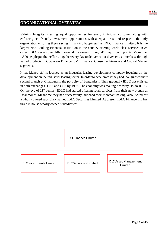

# <span id="page-9-0"></span>**ORGANIZATIONAL OVERVIEW**

Valuing Integrity, creating equal opportunities for every individual customer along with enforcing eco-friendly investment opportunities with adequate trust and respect – the only organization ensuring these saying "financing happiness" is IDLC Finance Limited. It is the largest Non-Banking Financial Institution in the country offering world class services in 24 cities. IDLC serves over fifty thousand customers through 41 major touch points. More than 1,300 people put their efforts together every day to deliver to our diverse customer base through varied products in Corporate Finance, SME Finance, Consumer Finance and Capital Market segments.

It has kicked off its journey as an industrial leasing development company focusing on the development on the industrial leasing sector. In order to accelerate it they had inaugurated their second branch at Chattogram, the port city of Bangladesh. Then gradually IDLC got enlisted in both exchanges- DSE and CSE by 1996. The economy was making headway, so do IDLC. On the eve of 21<sup>st</sup> century IDLC had started offering retail services from their new branch at Dhanmondi. Meantime they had successfully launched their merchant baking, also kicked off a wholly owned subsidiary named IDLC Securities Limited. At present IDLC Finance Ltd has three in house wholly owned subsidiaries:

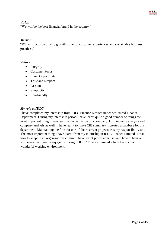

#### <span id="page-10-0"></span>*Vision*

"We will be the best financial brand in the country."

#### <span id="page-10-1"></span>*Mission*

"We will focus on quality growth, superior customer experiences and sustainable business practices."

#### <span id="page-10-2"></span>*Values*

- Integrity
- Customer Focus
- Equal Opportunity
- Trust and Respect
- Passion
- Simplicity
- Eco-friendly

#### <span id="page-10-3"></span>*My role at IDLC*

I have completed my internship from IDLC Finance Limited under Structured Finance Department. During my internship period I have learnt quite a good number of things the most important thing I have learnt is the valuation of a company. I did industry analysis and company analysis as well. I have learnt to make CIB summary. I created a database for this department. Maintaining the files for one of their current projects was my responsibility too. The most important thing I have learnt from my internship in ILDC Finance Limited is that how to adapt in an organizations culture. I have learnt professionalism and how to behave with everyone. I really enjoyed working in IDLC Finance Limited which has such a wonderful working environment.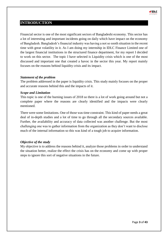

# <span id="page-11-0"></span>**INTRODUCTION**

Financial sector is one of the most significant sectors of Bangladeshi economy. This sector has a lot of interesting and important incidents going on daily which have impact on the economy of Bangladesh. Bangladesh's financial industry was having a not so sooth situation in the recent time with great volatility in it. As I am doing my internship in IDLC Finance Limited one of the largest financial institutions in the structured finance department, for my report I decided to work on this sector. The topic I have selected is Liquidity crisis which is one of the most discussed and important one that created a havoc in the sector this year. My report mainly focuses on the reasons behind liquidity crisis and its impact.

#### <span id="page-11-1"></span>*Statement of the problem*

The problem addressed in the paper is liquidity crisis. This study mainly focuses on the proper and accurate reasons behind this and the impacts of it.

#### <span id="page-11-2"></span>*Scope and Limitation*

This topic is one of the burning issues of 2018 so there is a lot of work going around but not a complete paper where the reasons are clearly identified and the impacts were clearly mentioned.

There were some limitations. One of those was time constraint. This kind of paper needs a great deal of in-depth studies and a lot of time to go through all the secondary sources available. Further, the availability and accuracy of data collected was another challenge. But the most challenging one was to gather information from the organization as they don't want to disclose much of the internal information so this was kind of a tough job to acquire information.

#### <span id="page-11-3"></span>*Objective of the study*

My objective is to address the reasons behind it, analyze those problems in order to understand the situation better, realize the effect the crisis has on the economy and come up with proper steps to ignore this sort of negative situations in the future.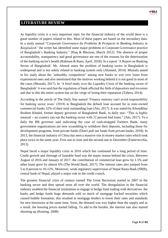

# <span id="page-12-0"></span>**LITERATURE REVIEW**

As liquidity crisis is a very important topic for the financial industry of the world there is a good number of papers related to this. Most of these papers are based on the secondary data. In a study named "*Corporate Governance-Its Problems & Prospects in Banking Industry in Bangladesh*" the writer has identified some major problems in Corporate Governance practice of Bangladesh's Banking Industry*"* (Huq & Bhuiyan, March 2012). The absence of proper accountability, transparency and good governance are one of the reasons for the deterioration of the banking sector's health (Rahman & Rana, April. 2018). In a report 'A Report on Banking Sector of Bangladesh' Mr. Ahmed states the problem of banking sector in Bangladesh is widespread and is not solely related to banking system only (Ahamed, 2014). Mustafa stated in his study about the 'unhealthy competition" among new banks to win over loans from experienced ones and also mentioned that the motives working behind it is not good in most of the cases (Mustafa, 2017). In 'A brief study over the Liquidity Crisis of the banking sector of Bangladesh' it was said that the regulation of bank affected the faith of depositors and investors and due to this the entire system has on the verge of losing their reputation (Tahera, 2014).

According to the article of The Daily Star named 'Finance ministry can't avoid responsibility for banking sector woes' (2018) in Bangladesh the default loan account for in state-owned commercial banks 32% of their total outstanding loan (Alo, 2017). It was stated by Khondkhar Ibrahim Khaled, former deputy governor of Bangladesh Bank, to daily star- "This is highly unusual -- no country can run the banking sector with 32 percent bad loans." (Alo, 2017). To a daily the BB governor said indicating the case of cash-strapped Farmers Bank, many government organizations are now scrambling to withdraw their deposits, including those for development programs, from private banks (Don't pull out funds from private banks, 2018). In 2013, the financial industry of China has seen a massive rise in money market rates which took place twice in the same year- First one in June and the second one in December (Fontevecchia, 2013)

Nepal faced a major liquidity crisis in 2016 which has continued for a long period of time. Credit growth and shortage of loanable fund was the major reason behind the crisis. Between August of 2016 and January of 2017, the contribution of commercial loan grew by 1.5% and other loans grew by almost 6% (The World Bank, 2017). The interest rates also jumped from 5 to 8 percent to 10-12%. Moreover, weak regulatory supervision of Nepal Rasta Bank (NRB), central bank of Nepal, played a major role in the credit crunch.

The greatest financial crisis of century named The Great Recession started in 2007 in the banking sector and then spread most all over the world. The deregulation in the financial industry enabled the financial institutions to engage in hedge fund trading with derivatives. the banks and hedge funds huge demands sold so much of mortgage backed securities which caused bubble formation, this resulted in mortgage lenders to lower their rates and standards for new borrowers at the same time, Soon, the demand was way higher than the supply and as a result, the housing prices started falling. To add to the burden, the interest rate also started shooting up (Keating, 2008)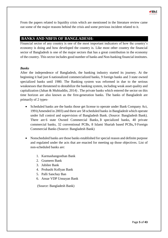

### <span id="page-13-0"></span>**BANKS AND NBFIS OF BANGLADESH:**

Financial sector of any country is one of the most important indicators of how the country's economy is doing and how developed the country is. Like most other country the financial sector of Bangladesh is one of the major sectors that has a great contribution in the economy of the country. This sector includes good number of banks and Non-banking financial institutes.

#### <span id="page-13-1"></span>*Banks*

After the independence of Bangladesh, the banking industry started its journey. At the beginning it had just 6 nationalized commercialized banks, 9 foreign banks and 3 state owned specialized banks until 1980. The Banking system was reformed in due to the serious weaknesses that threatened to destabilize the banking system, including weak asset quality and capitalization (Jahan & Muhiuddin, 2014). The private banks which entered the sector on this time horizon are also known as the first-generation banks. The banks of Bangladesh are primarily of 2 types-

- Scheduled banks are the banks those get license to operate under Bank Company Act, 1991(Amended in 2003) and there are 58 scheduled banks in Bangladesh which operate under full control and supervision of Bangladesh Bank. (Source: Bangladesh Bank). There are 6 state Owned Commercial Banks, **3** specialized banks, 40 private commercial banks, 32 conventional PCBs, 8 Islami Shariah based PCBs**,** 9 Foreign Commercial Banks (Source: Bangladesh Bank)
- Nonscheduled banks are those banks established for special reason and definite purpose and regulated under the acts that are enacted for meeting up those objectives. List of non-scheduled banks are:
	- 1. Karmashangosthan Bank
	- 2. Grameen Bank
	- 3. Jubilee Bank
	- 4. Probashi Kollyan Bank
	- 5. Palli Sanchay Ban
	- 6. Ansar VDP Unnayan Bank

(Source: Bangladesh Bank)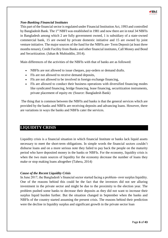

### <span id="page-14-0"></span>*Non-Banking Financial Institutes*

This part of the financial sector is regulated under Financial Institution Act, 1993 and controlled by Bangladesh Bank. The 1<sup>st</sup> NBFI was established in 1981 and now there are in total 34 NBFIs in Bangladesh among which 2 are fully government owned, 1 is subsidiary of a state-owned commercial bank, 15 are owned by private domestic initiative and 15 are owned by joint venture initiative. The major sources of the fund for the NBFIs are- Term Deposit (at least three months tenure), Credit Facility from Banks and other financial institutes, Call Money and Bond and Securitization. (Jahan & Muhiuddin, 2014).

Main differences of the activities of the NBFIs with that of banks are as followed:

- NBFIs are not allowed to issue cheques, pay-orders or demand drafts.
- FIs are not allowed to receive demand deposits,
- FIs are not allowed to be involved in foreign exchange financing,
- FIs are allowed to conduct their business operations with diversified financing modes like syndicated financing, bridge financing, lease financing, securitization instruments, private placement of equity etc (Source: Bangladesh Bank)

The thing that is common between the NBFIs and banks is that the general services which are provided by the banks and NBFIs are receiving deposits and advancing loans. However, there are variations in ways the banks and NBFIs cater the services.

# <span id="page-14-1"></span>**LIQUIDITY CRISIS**

Liquidity crisis is a financial situation in which financial Institute or banks lack liquid assets necessary to meet the short-term obligations. In simple words the financial sectors couldn't disburse loans and on a more serious note they failed to pay back the people on the maturity period who have deposited money in the banks or NBFIs. For the economy, liquidity crisis is when the two main sources of liquidity for the economy decrease the number of loans they make or stop making loans altogether (Tahera, 2014)

#### <span id="page-14-2"></span>*Cause of the Recent Liquidity Crisis*

In June 2017, the Bangladesh's financial sector started facing a problem- over surplus liquidity. One of the reasons behind this could be the fact that the investors did not see alluring investment in the private sector and might be due to the proximity to the election year. The problem pushed some banks to decrease their deposits as they did not want to increase their surplus liquid burden further. But the situation changed in September when the banks and NBFIs of the country started assuming the present crisis. The reasons behind their prediction were the decline in liquidity surplus and significant growth in the private sector loan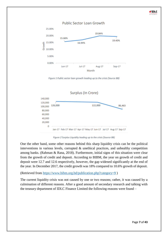# **Public Sector Loan Growth** 25.00% 19.84%



*Figure 1 Public sector loan growth leading up to the crisis (Source BB)*

<span id="page-15-0"></span>

*Figure 2 Surplus Liquidity leading up to the crisis (Source BB)*

<span id="page-15-1"></span>One the other hand, some other reasons behind this sharp liquidity crisis can be the political interventions in various levels, corrupted & unethical practices, and unhealthy competition among banks. (Rahman & Rana, 2018). Furthermore, initial signs of this situation were clear from the growth of credit and deposit. According to BIBM, the year on growth of credit and deposit were 12.7 and 12.6 respectively, however, the gap widened significantly at the end of the year. In December 2017, the credit growth was 18% compared to 10.6% growth of deposit.

(Retrieved from<https://www.bibm.org.bd/publication.php?category=9> )

The current liquidity crisis was not caused by one or two reasons; rather, it was caused by a culmination of different reasons. After a good amount of secondary research and talking with the treasury department of IDLC Finance Limited the following reasons were found –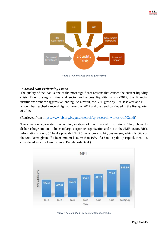



*Figure 3 Primary cause of the liquidity crisis*

### <span id="page-16-1"></span><span id="page-16-0"></span>*Increased Non-Performing Loans*

The quality of the loan is one of the most significant reasons that caused the current liquidity crisis. Due to sluggish financial sector and excess liquidity in mid-2017, the financial institutions went for aggressive lending. As a result, the NPL grew by 19% last year and NPL amount has reached a record high at the end of 2017 and the trend continued in the first quarter of 2018.

(Retrieved from [https://www.bb.org.bd/pub/research/sp\\_research\\_work/srw1702.pdf\)](https://www.bb.org.bd/pub/research/sp_research_work/srw1702.pdf)

The situation aggravated the lending strategy of the financial institutions. They chose to disburse huge amount of loans to large corporate organization and not to the SME sector. BB's information shows, 55 banks provided Tk3.5 lakhs crore to big businesses, which is 36% of the total loans given. If a loan amount is more than 10% of a bank's paid-up capital, then it is considered as a big loan (Source: Bangladesh Bank)



<span id="page-16-2"></span>*Figure 4 Amount of non-performing loan (Source BB)*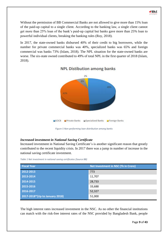

Without the permission of BB Commercial Banks are not allowed to give more than 15% loan of the paid-up capital to a single client. According to the banking law, a single client cannot get more than 25% loan of the bank's paid-up capital but banks gave more than 25% loan to powerful individual clients, breaking the banking rules (Roy, 2018).

In 2017, the state-owned banks disbursed 40% of their credit to big borrowers, while the number for private commercial banks was 40%, specialized banks was 65% and foreign commercial was banks 73% (Islam, 2018). The NPL situation for the state-owned banks are worse. The six-state owned contributed to 49% of total NPL in the first quarter of 2018 (Islam, 2018).



# **NPL Distibution among banks**

*Figure 5 Non-performing loan distribution among banks*

### <span id="page-17-1"></span><span id="page-17-0"></span>*Increased investment in National Saving Certificate*

Increased investment in National Saving Certificate's is another significant reason that greatly contributed to the recent liquidity crisis. In 2017 there was a jump in number of increase in the national saving certificate investment.

*Table 1 Net investment in national saving certificates (Source BB)*

| <b>Fiscal Year</b>              | Net Investment in NSC (Tk in Crore) |
|---------------------------------|-------------------------------------|
| 2012-2013                       | 773                                 |
| 2013-2014                       | 11,707                              |
| 2014-2015                       | 28,733                              |
| 2015-2016                       | 33,688                              |
| 2016-2017                       | 52,327                              |
| 2017-2018* (Up to January 2018) | 51,000                              |

The high interest rates increased investment in the NSC. As no other the financial institutions can match with the risk-free interest rates of the NSC provided by Bangladesh Bank, people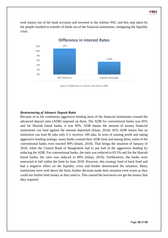

took money out of the bank accounts and invested in the riskless NSC and this step taken by the people resulted in transfer of funds out of the financial institutions, instigating the liquidity crisis.



*Figure 6 Difference in interest rate (Source BB)*

#### <span id="page-18-1"></span><span id="page-18-0"></span>*Restructuring of Advance Deposit Ratio*

Because of as the continuous aggressive lending most of the financial institutions crossed the advanced deposit ratio (ADR) imposed on them. The ADR for conventional banks was 85% and for Shariah based banks, it was 90%. ADR means the amount of money financial institutions can lend against the amount deposited (Islam, 2018). 85% ADR means that an institution can lend 85 taka only if it receives 100 taka. In term of earning profit and taking aggressive lending strategy, many banks crossed their ADR limit and among them, some of the conventional banks even reached 90% (Islam, 2018). That brings the situation of January of 2018, when the Central Bank of Bangladesh had to put halt in the aggressive lending by reducing the ADR. For conventional banks, the ratio was reduced to 83.5% and for the Shariah based banks; the ratio was reduced to 89% (Islam, 2018). Furthermore, the banks were instructed to fall within the limit by June 2018. However, this strategy kind of back fired and had a negative effect on the liquidity crisis and further deteriorated the situation. Many institutions were well above the limit, further decrease made their situation even worse as they could not further lend money as they used to. This caused the borrowers not get the money that they required.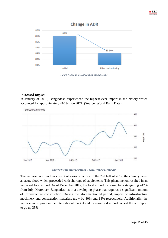

*Figure 7 Change in ADR causing liquidity crisis*

### <span id="page-19-1"></span><span id="page-19-0"></span>*Increased Import*

In January of 2018, Bangladesh experienced the highest ever import in the history which accounted for approximately 410 billion BDT. (Source: World Bank Data)



*Figure 8 Money spent on imports (Source: Trading economics)*

<span id="page-19-2"></span>The increase in import was result of various factors. In the 2nd half of 2017, the country faced an acute flood which proceeded with shortage of staple items. This phenomenon resulted in an increased food import. As of December 2017, the food import increased by a staggering 247% from July. Moreover, Bangladesh is in a developing phase that requires a significant amount of infrastructure construction. During the aforementioned period, import of infrastructure machinery and construction materials grew by 40% and 18% respectively. Additionally, the increase in oil price in the international market and increased oil import caused the oil import to go up 35%.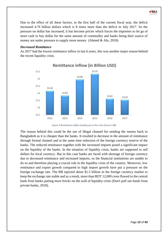

#### <span id="page-20-0"></span>*Decreased Remittance*

As 2017 had the lowest remittance inflow in last 6 years, this was another major reason behind the recent liquidity crisis.



**Remittance inflow (in Billion USD)** 

<span id="page-20-1"></span>The reason behind this could be the use of illegal channel for sending the money back to Bangladesh as it is cheaper than the banks. It resulted in decrease in the amount of remittance through formal channel and at the same time reduction of the foreign currency reserve of the banks. The reduced remittance together with the increased imports posed a significant impact on the liquidity of the banks. In the situation of liquidity crisis, banks are supposed to sell dollars for local currency. But in this case banks are faced with shortage of foreign currency due to decreased remittance and increased imports, so the financial institutions are unable to do so and therefore playing a crucial role in the liquidity crisis of the country. Moreover, low remittance and export growth compared to high import growth have put a pressure on the foreign exchange rate. The BB injected about \$1.5 billion in the foreign currency market to keep the exchange rate stable and as a result, more than BDT 12,000 crore flowed to the central bank from banks putting more bricks on the wall of liquidity crisis (Don't pull out funds from private banks, 2018).

*Figure 9 Remittance inflow leading up to the crisis (Source: BB)*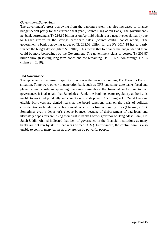

#### <span id="page-21-0"></span>*Government Borrowings*

The government's gross borrowing from the banking system has also increased to finance budget deficit partly for the current fiscal year.( Source Bangladesh Bank) The government's net bank borrowing is Tk 216.69 billion as on April 26 which is at a negative level, mainly due to higher growth in the savings certificate sales, (Source central bank's report). The government's bank-borrowing target of Tk 282.03 billion for the FY 2017-18 has to partly finance the budget deficit (Islam S. , 2018). This means that to finance the budget deficit there could be more borrowings by the Government. The government plans to borrow Tk 208.87 billion through issuing long-term bonds and the remaining Tk 73.16 billion through T-bills (Islam S. , 2018).

#### <span id="page-21-1"></span>*Bad Governance*

The epicenter of the current liquidity crunch was the mess surrounding The Farmer's Bank's situation. There were other 4th generation bank such as NRB and some state banks faced and played a major role in spreading the crisis throughout the financial sector due to bad governance. It is also said that Bangladesh Bank, the banking sector regulatory authority, is unable to work independently and cannot exercise its power. According to Dr. Zahid Hussain, eligible borrowers are denied loans as the board sanctions loan on the basis of political consideration or family connections, most banks suffer from a liquidity crisis (Chakma, 2017). Sometimes even a depositor's cheque bounces because of disbursement of bad loans and ultimately depositors are losing their trust in banks Former governor of Bangladesh Bank, Dr. Saleh Uddin Ahmed indicated that lack of governance in the financial institutions as many banks are not run by skillful bankers (Ahmed D. S.). Furthermore, the central bank is also unable to control many banks as they are run by powerful people.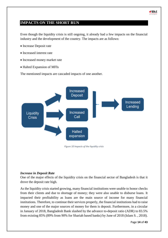# <span id="page-22-0"></span>**IMPACTS ON THE SHORT RUN**

Even though the liquidity crisis is still ongoing, it already had a few impacts on the financial industry and the development of the country. The impacts are as follows:

- Increase Deposit rate
- Increased interest rate
- Increased money market rate
- Halted Expansion of MFIs

The mentioned impacts are cascaded impacts of one another.



*Figure 10 Impacts of the liquidity crisis*

#### <span id="page-22-2"></span><span id="page-22-1"></span>*Increase in Deposit Rate*

One of the major effects of the liquidity crisis on the financial sector of Bangladesh is that it drove the deposit rate high.

As the liquidity crisis started growing, many financial institutions were unable to honor checks from their clients and due to shortage of money; they were also unable to disburse loans. It impacted their profitability as loans are the main source of income for many financial institutions. Therefore, to continue their services properly, the financial institutions had to raise money and one of the major sources of money for them is deposit. Furthermore, in a circular in January of 2018, Bangladesh Bank slashed by the advance to-deposit ratio (ADR) to 83.5% from existing 85% (89% from 90% for Shariah based banks) by June of 2018 (Islam S. , 2018).

Page **14** of **43**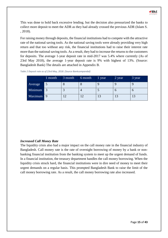

This was done to hold back excessive lending. but the decision also pressurized the banks to collect more deposit to meet the ADR as they had already crossed the previous ADR (Islam S. , 2018).

For raising money through deposits, the financial institutions had to compete with the attractive rate of the national saving tools. As the national saving tools were already providing very high return and that too without any risk, the financial institutions had to raise their interest rate more than the national saving tools. As a result, they had to increase the returns to the customers for deposits. The average 1-year deposit rate in mid-2017 was 5.4% where currently (As of 23rd May 2018), the average 1-year deposit rate is 9% with highest of 13%. (Source: Bangladesh Bank) The details are attached in Appendix B.

|           | 1 month | 3 month        | 6 month | $\frac{1}{2}$ year | 2 year | 3 year |
|-----------|---------|----------------|---------|--------------------|--------|--------|
| Average   |         |                |         |                    |        |        |
| Minimum   |         |                |         |                    |        |        |
| Maximum 9 |         | $\overline{2}$ |         |                    |        | 13     |

*Table 2 Deposit rate as of 23rd May, 2018. (Source Bankcomparebd)*

#### <span id="page-23-0"></span>*Increased Call Money Rate*

The liquidity crisis also had a major impact on the call money rate in the financial industry of Bangladesh. Call money rate is the rate of overnight borrowing of money by a bank or nonbanking financial institution from the banking system to meet up the urgent demand of funds. In a financial institution, the treasury department handles the call money borrowing. When the liquidity crisis struck hard, the financial institutions were in dire need of money to meet their urgent demands on a regular basis. This prompted Bangladesh Bank to raise the limit of the call money borrowing rate. As a result, the call money borrowing rate also increased.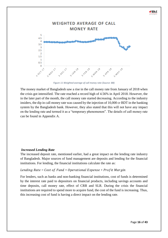

*Figure 11 Weighted average of call money rate (Source: BB)*

<span id="page-24-1"></span>The money market of Bangladesh saw a rise in the call money rate from January of 2018 when the crisis got intensified. The rate reached a record high of 4.56% in April 2018. However, the in the later part of the month, the call money rate started decreasing. According to the industry insiders, the dip in call money rate was caused by the injection of 10,000 cr BDT in the banking system by the Bangladesh bank. However, they also stated that this will not have any impact on the lending rate and termed it as a "temporary phenomenon". The details of call money rate can be found in Appendix A.

#### <span id="page-24-0"></span>*Increased Lending Rate*

The increased deposit rate, mentioned earlier, had a great impact on the lending rate industry of Bangladesh. Major sources of fund management are deposits and lending for the financial institutions. For lending, the financial institutions calculate the rate as:

### Lending Rate =  $Cost of Fund + Operational$  Expense + Profit Margin

For lenders, such as banks and non-banking financial institutions, cost of funds is determined by the interest rate paid to depositors on financial products, including savings accounts and time deposits, call money rate, effect of CRR and SLR. During the crisis the financial institutions are required to spend more to acquire fund, the cost of the fund is increasing. Thus, this increasing cost of fund is having a direct impact on the lending rate.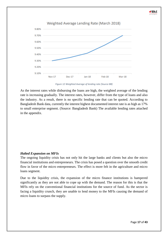

*Figure 12 Weighted Average of lending rate (Source BB)*

<span id="page-25-1"></span>As the interest rates while disbursing the loans are high, the weighted average of the lending rate is increasing gradually. The interest rates, however, differ from the type of loans and also the industry. As a result, there is no specific lending rate that can be quoted. According to Bangladesh Bank data, currently the interest highest documented interest rate is as high as 17% to small enterprise segment. (Source: Bangladesh Bank) The available lending rates attached in the appendix.

#### <span id="page-25-0"></span>*Halted Expansion on MFIs*

The ongoing liquidity crisis has not only hit the large banks and clients but also the micro financial institutions and entrepreneurs. The crisis has posed a question over the smooth credit flow in favor of the micro entrepreneurs. The effect is more felt in the agriculture and micro loans segment.

Due to the liquidity crisis, the expansion of the micro finance institutions is hampered significantly as they are not able to cope up with the demand. The reason for this is that the MFIs rely on the conventional financial institutions for the source of fund. As the sector is facing a liquidity crunch, they are unable to lend money to the MFIs causing the demand of micro loans to surpass the supply.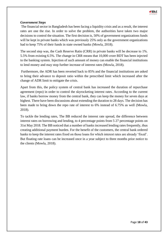

#### <span id="page-26-0"></span>*Government Steps*

The financial sector in Bangladesh has been facing a liquidity crisis and as a result, the interest rates are one the rise. In order to solve the problem, the authorities have taken two major decisions to control the situation. The first decision is, 50% of government organizations funds will be kept in private banks which was previously 25% only as the government organizations had to keep 75% of their funds in state owned banks (Mowla, 2018).

The second step was, the Cash Reserve Ratio (CRR) in private banks will be decrease to 1%. 5.5% from existing 6.5%. The change in CRR means that 10,000 crore BDT has been injected to the banking system. Injection of such amount of money can enable the financial institutions to lend money and may stop further increase of interest rates (Mowla, 2018).

Furthermore, the ADR has been reverted back to 85% and the financial institutions are asked to bring their advance to deposit ratio within the prescribed limit which increased after the change of ADR limit to mitigate the crisis.

Apart from this, the policy system of central bank has increased the duration of repurchase agreement (repo) in order to control the skyrocketing interest rates. According to the current law, if banks borrow money from the central bank, they can keep the money for seven days at highest. There have been discussions about extending the duration to 28 days. The decision has been made to bring down the repo rate of interest to 6% instead of 6.75% as well (Mowla, 2018).

To tackle the lending rates, The BB reduced the interest rate spread, the difference between interest rates on borrowing and lending, to 4 percentage points from 5 27 percentage points on 31st May 2018. The BB noticed that a number of banks increased lending rates frequently, thus creating additional payment burden. For the benefit of the customers, the central bank ordered banks to keep the interest rates fixed on those loans for which interest rates are already 'fixed'. But floating rate loans can be increased once in a year subject to three months prior notice to the clients (Mowla, 2018).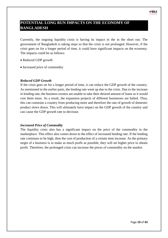# <span id="page-27-0"></span>**POTENTIAL LONG RUN IMPACTS ON THE ECONOMY OF BANGLADESH**

Currently, the ongoing liquidity crisis is having its impact in the in the short run. The government of Bangladesh is taking steps so that the crisis is not prolonged. However, if the crisis goes on for a longer period of time, it could have significant impacts on the economy. The impacts could be as follows:

- Reduced GDP growth
- Increased price of commodity

### <span id="page-27-1"></span>*Reduced GDP Growth*

If the crisis goes on for a longer period of time, it can reduce the GDP growth of the country. As mentioned in the earlier parts, the lending rate went up due to the crisis. Due to the increase in lending rate, the business owners are unable to take their desired amount of loans as it would cost them more. As a result, the expansion projects of different businesses are halted. Thus, this can constrain a country from producing more and therefore the rate of growth of domestic product slows down. This will ultimately have impact on the GDP growth of the country and can cause the GDP growth rate to decrease.

#### <span id="page-27-2"></span>*Increased Price of Commodity*

The liquidity crisis also has a significant impact on the price of the commodity in the marketplace. This effect also comes down to the effect of increased lending rate. If the lending rate continues to be high, then the cost of production of a certain item increase. As the primary target of a business is to make as much profit as possible, they will set higher price to obtain profit. Therefore, the prolonged crisis can increase the prices of commodity on the market.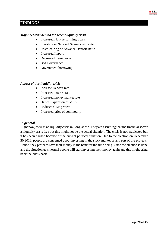# <span id="page-28-0"></span>**FINDINGS**

### <span id="page-28-1"></span>*Major reasons behind the recent liquidity crisis*

- Increased Non-performing Loans
- Investing in National Saving certificate
- Restructuring of Advance Deposit Ratio
- Increased Import
- Decreased Remittance
- Bad Governance
- Government borrowing

### <span id="page-28-2"></span>*Impact of this liquidity crisis*

- Increase Deposit rate
- Increased interest rate
- Increased money market rate
- Halted Expansion of MFIs
- Reduced GDP growth
- Increased price of commodity

#### <span id="page-28-3"></span>*In general*

.

Right now, there is no liquidity crisis in Bangladesh. They are assuming that the financial sector is liquidity crisis free but this might not be the actual situation. The crisis is not eradicated but it has been paused because of the current political situation. Due to the election on December 30 2018, people are concerned about investing in the stock market or any sort of big projects. Hence, they prefer to save their money in the bank for the time being. Once the election is done and the situation gets normal people will start investing their money again and this might bring back the crisis back.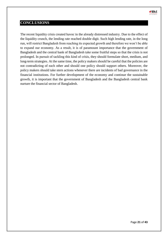

# <span id="page-29-0"></span>**CONCLUSIONS**

The recent liquidity crisis created havoc in the already distressed industry. Due to the effect of the liquidity crunch, the lending rate reached double digit. Such high lending rate, in the long run, will restrict Bangladesh from reaching its expected growth and therefore we won't be able to expand our economy. As a result, it is of paramount importance that the government of Bangladesh and the central bank of Bangladesh take some fruitful steps so that the crisis is not prolonged. In pursuit of tackling this kind of crisis, they should formulate short, medium, and long-term strategies. At the same time, the policy makers should be careful that the policies are not contradicting of each other and should one policy should support others. Moreover, the policy makers should take stern actions whenever there are incidents of bad governance in the financial institutions. For further development of the economy and continue the sustainable growth, it is important that the government of Bangladesh and the Bangladesh central bank nurture the financial sector of Bangladesh.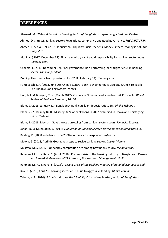### <span id="page-30-0"></span>**REFERENCES**



- Ahmed, D. S. (n.d.). Banking sector: Regulations, compliance and good governance. *THE DAILY STAR*.
- Ahmed, I., & Alo, J. N. (2018, January 26). Liquidity Crisis Deepens: Money is there, money is not. *The Daily Star*.
- Alo, J. N. ( 2017, December 31). Finance ministry can't avoid responsibility for banking sector woes. *the daily star*.
- Chakma, J. (2017, December 12). Poor governance, non performing loans trigger crisis in banking sector. *The independent*.

Don't pull out funds from private banks. (2018, February 18). *the daily star* .

- Fontevecchia, A. (2013, june 20). China's Central Bank Is Engineering A Liquidity Crunch To Tackle The Shadow Banking System. *forbes*.
- Huq, B. I., & Bhuiyan, M. Z. (March 2012). Corporate Governance-Its Problems & Prospects. *World Review of Business Research*, 16 - 31.
- Islam, S. (2018, January 31). Bangladesh Bank cuts loan-deposit ratio 1.5%. *Dhaka Tribune* .
- Islam, S. (2018, may 8). BIBM study: 85% of bank loans in 2017 disbursed in Dhaka and Chittagong. *Dhaka Tribune*.
- Islam, S. (2018, May 14). Govt's gross borrowing from banking system soars. *Financial Express*.
- Jahan, N., & Muhiuddin, K. (2014). *Evaluation of Banking Sector's Development in Bangladesh in.*
- Keating, D. (2008, october 7). The 2008 economic crisis explained. *cafebabel*.
- Mowla, G. (2018, April 4). Govt takes steps to revive banking sector. *Dhaka Tribune* .
- Mustafa, M. S. (2017). Unhealthy competition rife among new banks: study. *the daily star*.
- Rahman, M. H., & Rana, S. (April. 2018). Present Crisis of the Banking Industry of Bangladesh: Causes and Remedial Measures. *IOSR Journal of Business and Management*, 13-21.
- Rahman, M. H., & Rana, S. (2018). *Present Crisis of the Banking Industry of Bangladesh: Causes and.*
- Roy, N. (2018, April 28). Banking sector at risk due to aggressive lending. *Dhaka Tribune*.

Tahera, K. T. (2014). *A brief study over the 'Liquidity Crisis' of the banking sector of Bangladesh.*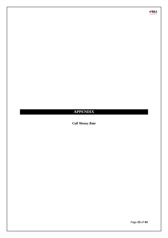

# <span id="page-31-0"></span>**APPENDIX**

<span id="page-31-1"></span>*Call Money Rate*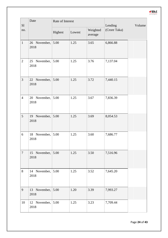

| S1             | Date                         |         | Rate of Interest |                     | Lending      | Volume |
|----------------|------------------------------|---------|------------------|---------------------|--------------|--------|
| no.            |                              | Highest | Lowest           | Weighted<br>average | (Crore Taka) |        |
| $\mathbf{1}$   | 26 November,<br>2018         | 5.00    | 1.25             | 3.65                | 6,866.88     |        |
| $\mathbf{2}$   | 25 November,<br>2018         | 5.00    | 1.25             | 3.76                | 7,137.04     |        |
| 3              | 22 November,<br>2018         | 5.00    | 1.25             | 3.72                | 7,440.15     |        |
| $\overline{4}$ | November,<br>20<br>2018      | 5.00    | 1.25             | 3.67                | 7,836.39     |        |
| 5              | 19 November,<br>2018         | 5.00    | 1.25             | 3.69                | 8,054.53     |        |
| 6              | 18 November,<br>2018         | 5.00    | 1.25             | 3.60                | 7,686.77     |        |
| $\overline{7}$ | 15 November, $5.00$<br>2018  |         | 1.25             | 3.50                | 7,516.96     |        |
| 8              | 14 November,<br>2018         | 5.00    | 1.25             | 3.52                | 7,645.20     |        |
| 9              | 13 November,<br>2018         | 5.00    | 1.20             | 3.39                | 7,993.27     |        |
| 10             | 12 November, $ 5.00$<br>2018 |         | 1.25             | 3.23                | 7,709.44     |        |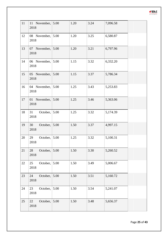| 11 | 11 November,<br>2018   | 5.00 | 1.20 | 3.24 | 7,096.58 |  |
|----|------------------------|------|------|------|----------|--|
| 12 | 08 November,<br>2018   | 5.00 | 1.20 | 3.25 | 6,580.87 |  |
| 13 | 07 November,<br>2018   | 5.00 | 1.20 | 3.21 | 6,797.96 |  |
| 14 | 06 November,<br>2018   | 5.00 | 1.15 | 3.32 | 6,332.20 |  |
| 15 | 05 November,<br>2018   | 5.00 | 1.15 | 3.37 | 5,786.34 |  |
| 16 | 04 November,<br>2018   | 5.00 | 1.25 | 3.43 | 5,253.83 |  |
| 17 | 01 November,<br>2018   | 5.00 | 1.25 | 3.46 | 5,363.06 |  |
| 18 | 31<br>October,<br>2018 | 5.00 | 1.25 | 3.32 | 5,174.39 |  |
| 19 | 30<br>October,<br>2018 | 5.00 | 1.50 | 3.37 | 4,997.15 |  |
| 20 | 29<br>October,<br>2018 | 5.00 | 1.25 | 3.32 | 5,100.31 |  |
| 21 | October,<br>28<br>2018 | 5.00 | 1.50 | 3.30 | 5,260.52 |  |
| 22 | October,<br>25<br>2018 | 5.00 | 1.50 | 3.49 | 5,006.67 |  |
| 23 | October,<br>24<br>2018 | 5.00 | 1.50 | 3.51 | 5,160.72 |  |
| 24 | 23<br>October,<br>2018 | 5.00 | 1.50 | 3.54 | 5,241.07 |  |
| 25 | 22<br>October,<br>2018 | 5.00 | 1.50 | 3.48 | 5,656.37 |  |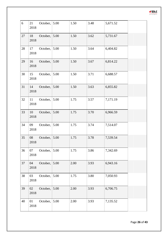| 6  | 21<br>2018 | October, | 5.00 | 1.50 | 3.48 | 5,671.52 |  |
|----|------------|----------|------|------|------|----------|--|
| 27 | 18<br>2018 | October, | 5.00 | 1.50 | 3.62 | 5,731.67 |  |
| 28 | 17<br>2018 | October, | 5.00 | 1.50 | 3.64 | 6,404.82 |  |
| 29 | 16<br>2018 | October, | 5.00 | 1.50 | 3.67 | 6,814.22 |  |
| 30 | 15<br>2018 | October, | 5.00 | 1.50 | 3.71 | 6,688.57 |  |
| 31 | 14<br>2018 | October, | 5.00 | 1.50 | 3.63 | 6,855.82 |  |
| 32 | 11<br>2018 | October, | 5.00 | 1.75 | 3.57 | 7,171.19 |  |
| 33 | 10<br>2018 | October, | 5.00 | 1.75 | 3.70 | 6,966.59 |  |
| 34 | 09<br>2018 | October, | 5.00 | 1.75 | 3.74 | 7,514.07 |  |
| 35 | 08<br>2018 | October, | 5.00 | 1.75 | 3.78 | 7,539.54 |  |
| 36 | 07<br>2018 | October, | 5.00 | 1.75 | 3.86 | 7,342.69 |  |
| 37 | 04<br>2018 | October, | 5.00 | 2.00 | 3.93 | 6,943.16 |  |
| 38 | 03<br>2018 | October, | 5.00 | 1.75 | 3.80 | 7,050.93 |  |
| 39 | 02<br>2018 | October, | 5.00 | 2.00 | 3.93 | 6,706.75 |  |
| 40 | 01<br>2018 | October, | 5.00 | 2.00 | 3.93 | 7,135.52 |  |

Page **26** of **43**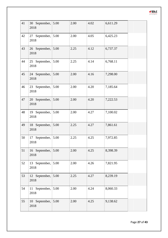| 41 | 30 September,<br>2018        | 5.00 | 2.00 | 4.02 | 6,611.29 |  |
|----|------------------------------|------|------|------|----------|--|
| 42 | 27 September,<br>2018        | 5.00 | 2.00 | 4.05 | 6,425.23 |  |
| 43 | 26 September, 5.00<br>2018   |      | 2.25 | 4.12 | 6,737.37 |  |
| 44 | 25 September, $5.00$<br>2018 |      | 2.25 | 4.14 | 6,768.11 |  |
| 45 | 24 September, 5.00<br>2018   |      | 2.00 | 4.16 | 7,298.00 |  |
| 46 | 23 September,<br>2018        | 5.00 | 2.00 | 4.20 | 7,185.64 |  |
| 47 | 20 September, 5.00<br>2018   |      | 2.00 | 4.20 | 7,222.53 |  |
| 48 | 19 September,<br>2018        | 5.00 | 2.00 | 4.27 | 7,100.02 |  |
| 49 | 18 September, 5.00<br>2018   |      | 2.25 | 4.27 | 7,861.61 |  |
| 50 | 17 September,<br>2018        | 5.00 | 2.25 | 4.25 | 7,972.85 |  |
| 51 | 16 September,<br>2018        | 5.00 | 2.00 | 4.25 | 8,398.39 |  |
| 52 | 13 September,<br>2018        | 5.00 | 2.00 | 4.26 | 7,821.95 |  |
| 53 | 12 September,<br>2018        | 5.00 | 2.25 | 4.27 | 8,239.19 |  |
| 54 | 11 September,<br>2018        | 5.00 | 2.00 | 4.24 | 8,060.33 |  |
| 55 | 10 September,<br>2018        | 5.00 | 2.00 | 4.25 | 9,138.62 |  |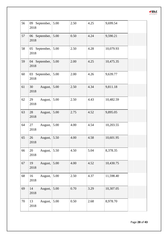| 56 | 09 September,<br>2018 | 5.00 | 2.50 | 4.25 | 9,699.54  |  |
|----|-----------------------|------|------|------|-----------|--|
| 57 | 06 September,<br>2018 | 5.00 | 0.50 | 4.24 | 9,590.21  |  |
| 58 | 05 September,<br>2018 | 5.00 | 2.50 | 4.28 | 10,079.93 |  |
| 59 | 04 September,<br>2018 | 5.00 | 2.00 | 4.25 | 10,475.35 |  |
| 60 | 03 September,<br>2018 | 5.00 | 2.00 | 4.26 | 9,639.77  |  |
| 61 | August,<br>30<br>2018 | 5.00 | 2.50 | 4.34 | 9,811.18  |  |
| 62 | 29<br>August,<br>2018 | 5.00 | 2.50 | 4.43 | 10,482.59 |  |
| 63 | 28<br>August,<br>2018 | 5.00 | 2.75 | 4.52 | 9,895.05  |  |
| 64 | 27<br>August,<br>2018 | 5.00 | 4.00 | 4.54 | 10,203.55 |  |
| 65 | 26<br>August,<br>2018 | 5.50 | 4.00 | 4.58 | 10,601.95 |  |
| 66 | 20<br>August,<br>2018 | 5.50 | 4.50 | 5.04 | 8,378.35  |  |
| 67 | August,<br>19<br>2018 | 5.00 | 4.00 | 4.52 | 10,430.75 |  |
| 68 | 16<br>August,<br>2018 | 5.00 | 2.50 | 4.37 | 11,598.40 |  |
| 69 | 14<br>August,<br>2018 | 5.00 | 0.70 | 3.29 | 10,307.05 |  |
| 70 | 13<br>August,<br>2018 | 5.00 | 0.50 | 2.68 | 8,978.70  |  |

 $\blacksquare$  DLC  $\frac{1}{4}$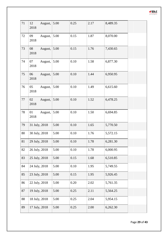| 71 | August,<br>12<br>2018 | 5.00 | 0.25     | 2.17 | 8,489.35 |  |
|----|-----------------------|------|----------|------|----------|--|
| 72 | 09<br>August,<br>2018 | 5.00 | 0.15     | 1.87 | 8,070.00 |  |
| 73 | 08<br>August,<br>2018 | 5.00 | 0.15     | 1.76 | 7,430.65 |  |
| 74 | 07<br>August,<br>2018 | 5.00 | 0.10     | 1.58 | 6,877.30 |  |
| 75 | August,<br>06<br>2018 | 5.00 | 0.10     | 1.44 | 6,950.95 |  |
| 76 | 05<br>August,<br>2018 | 5.00 | 0.10     | 1.49 | 6,615.60 |  |
| 77 | 02<br>August,<br>2018 | 5.00 | 0.10     | 1.52 | 6,478.25 |  |
| 78 | 01<br>August,<br>2018 | 5.00 | 0.10     | 1.50 | 6,694.85 |  |
| 79 | 31 July, 2018         | 5.00 | 0.10     | 1.65 | 5,770.50 |  |
| 80 | 30 July, 2018         | 5.00 | 0.10     | 1.76 | 5,572.15 |  |
| 81 | 29 July, 2018         | 5.00 | 0.10     | 1.78 | 6,281.30 |  |
| 82 | 26 July, 2018         | 5.00 | $0.10\,$ | 1.78 | 6,000.95 |  |
| 83 | 25 July, 2018         | 5.00 | 0.15     | 1.68 | 6,510.85 |  |
| 84 | 24 July, 2018         | 5.00 | 0.10     | 1.95 | 5,749.55 |  |
| 85 | 23 July, 2018         | 5.00 | 0.15     | 1.95 | 5,926.45 |  |
| 86 | 22 July, 2018         | 5.00 | 0.20     | 2.02 | 5,761.35 |  |
| 87 | 19 July, 2018         | 5.00 | 0.25     | 2.11 | 5,564.25 |  |
| 88 | 18 July, 2018         | 5.00 | 0.25     | 2.04 | 5,954.15 |  |
| 89 | 17 July, 2018         | 5.00 | 0.25     | 2.00 | 6,262.30 |  |

Page **29** of **43**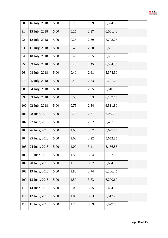

| 90  | 16 July, 2018       | 5.00 | 0.25 | 1.99 | 6,394.55 |  |
|-----|---------------------|------|------|------|----------|--|
| 91  | 15 July, 2018       | 5.00 | 0.25 | 2.17 | 6,061.40 |  |
| 92  | 12 July, 2018       | 5.00 | 0.25 | 2.39 | 5,773.25 |  |
| 93  | 11 July, 2018       | 5.00 | 0.40 | 2.58 | 5,801.10 |  |
| 94  | 10 July, 2018       | 5.00 | 0.40 | 2.55 | 5,985.20 |  |
| 95  | 09 July, 2018       | 5.00 | 0.40 | 2.45 | 6,504.35 |  |
| 96  | 08 July, 2018       | 5.00 | 0.40 | 2.61 | 5,378.50 |  |
| 97  | 05 July, 2018       | 5.00 | 0.40 | 2.63 | 5,201.65 |  |
| 98  | 04 July, 2018       | 5.00 | 0.75 | 2.65 | 5,510.05 |  |
| 99  | 03 July, 2018       | 5.00 | 0.50 | 2.63 | 6,139.15 |  |
| 100 | 02 July, 2018       | 5.00 | 0.75 | 2.54 | 6,511.80 |  |
| 101 | 28 June, 2018       | 5.00 | 0.75 | 2.77 | 6,065.95 |  |
| 102 | 27 June, 2018       | 5.00 | 0.75 | 2.82 | 6,497.10 |  |
| 103 | 26 June, 2018       | 5.00 | 1.00 | 3.07 | 5,697.85 |  |
| 104 | 25 June, 2018       | 5.00 | 1.00 | 3.22 | 5,652.85 |  |
|     | 105   24 June, 2018 | 5.00 | 1.00 | 3.41 | 5,156.85 |  |
| 106 | 21 June, 2018       | 5.00 | 1.50 | 3.54 | 5,192.90 |  |
| 107 | 20 June, 2018       | 5.00 | 1.75 | 3.67 | 5,664.70 |  |
| 108 | 19 June, 2018       | 5.00 | 1.80 | 3.74 | 6,306.45 |  |
| 109 | 18 June, 2018       | 5.00 | 1.50 | 3.73 | 6,200.60 |  |
| 110 | 14 June, 2018       | 5.00 | 2.00 | 3.85 | 6,494.35 |  |
| 111 | 12 June, 2018       | 5.00 | 1.80 | 3.73 | 6,512.25 |  |
| 112 | 11 June, 2018       | 5.00 | 1.75 | 3.59 | 7,029.00 |  |
|     |                     |      |      |      |          |  |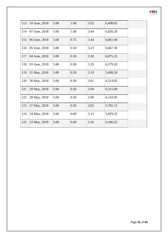| 113 | 10 June, 2018 | 5.00 | 1.00 | 3.52 | 6,498.05 |
|-----|---------------|------|------|------|----------|
| 114 | 07 June, 2018 | 5.00 | 1.00 | 3.44 | 6,826.20 |
| 115 | 06 June, 2018 | 5.00 | 0.75 | 3.44 | 6,661.40 |
| 116 | 05 June, 2018 | 5.00 | 0.50 | 3.23 | 6,667.30 |
| 117 | 04 June, 2018 | 5.00 | 0.50 | 3.30 | 6,875.25 |
| 118 | 03 June, 2018 | 5.00 | 0.50 | 3.35 | 6,579.20 |
| 119 | 31 May, 2018  | 5.00 | 0.50 | 3.19 | 5,699.20 |
| 120 | 30 May, 2018  | 5.00 | 0.50 | 3.01 | 6,514.05 |
| 121 | 29 May, 2018  | 5.00 | 0.50 | 3.04 | 6,315.00 |
| 122 | 28 May, 2018  | 5.00 | 0.50 | 3.00 | 6,143.95 |
| 123 | 27 May, 2018  | 5.00 | 0.50 | 3.03 | 5,782.15 |
| 124 | 24 May, 2018  | 5.00 | 0.60 | 3.13 | 5,829.35 |
| 125 | 23 May, 2018  | 5.00 | 0.60 | 3.16 | 6,186.25 |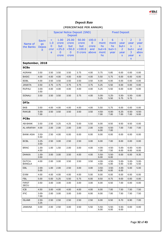

# *Deposit Rate*

### **(PERCENTAGE PER ANNUM)**

<span id="page-40-0"></span>

|                                |                                          |                                         | <b>Special Notice Deposit (SND)</b><br><b>Deposit</b> |                                                      |                                               |                                                |                                          | <b>Fixed Deposit</b>               |                                                            |                                                        |                                    |  |  |
|--------------------------------|------------------------------------------|-----------------------------------------|-------------------------------------------------------|------------------------------------------------------|-----------------------------------------------|------------------------------------------------|------------------------------------------|------------------------------------|------------------------------------------------------------|--------------------------------------------------------|------------------------------------|--|--|
| Name of<br>the Banks           | <b>Savin</b><br>gs<br><b>Depos</b><br>it | $\prec$<br>1.0<br>$\bf{0}$<br>cror<br>e | 1.00<br>crore<br>but<br>25.0<br>$\bf{0}$<br>crore     | 25.00<br>crore<br>but<br>< 50.0<br>$\bf{0}$<br>crore | 50.00<br>crore<br>but<br>$<$ 100.0<br>0 crore | 100.0<br>$\mathbf{0}$<br>crore<br>and<br>above | 3<br>mont<br>hs<br>but < 6<br>mont<br>hs | 6<br>mont<br>hs<br>but < 1<br>year | $\mathbf{1}$<br>year<br>but <<br>2<br>year<br>$\mathsf{s}$ | $\overline{2}$<br>year<br>S<br>but <<br>3<br>year<br>S | 3<br>year<br>S<br>and<br>abov<br>e |  |  |
| September, 2018<br><b>SCBs</b> |                                          |                                         |                                                       |                                                      |                                               |                                                |                                          |                                    |                                                            |                                                        |                                    |  |  |
| AGRANI                         | 3.50                                     | 3.50                                    | 3.50                                                  | 3.50                                                 | 3.75                                          | 4.00                                           | 5.75                                     | 5.85                               | 6.00                                                       | 0.00                                                   | 0.00                               |  |  |
| <b>BASIC</b>                   | 4.00                                     | 4.00                                    | 4.00                                                  | 4.00                                                 | 4.00                                          | 4.00                                           | 5.50                                     | 5.75                               | 6.00                                                       | 6.00                                                   | 6.00                               |  |  |
| <b>BDBL</b>                    | 4.00                                     | 3.50                                    | 3.50                                                  | 3.50                                                 | 3.50                                          | 3.50                                           | 6.00                                     | 6.00                               | 6.00                                                       | 0.00                                                   | 0.00                               |  |  |
| <b>JANATA</b>                  | 3.50                                     | 3.75                                    | 3.75                                                  | 3.75                                                 | 3.75                                          | 3.75                                           | 5.25                                     | 5.50                               | 6.00                                                       | 0.00                                                   | 0.00                               |  |  |
| <b>RUPALI</b>                  | $3.00 -$<br>3.50                         | 4.00                                    | 4.00                                                  | 4.00                                                 | 4.00                                          | 4.00                                           | 5.25                                     | 5.50                               | 6.00                                                       | 6.00                                                   | 6.00                               |  |  |
| SONALI                         | 3.50                                     | 3.50                                    | 3.50                                                  | 3.50                                                 | 3.75                                          | 4.00                                           | $5.00 -$<br>5.25                         | $5.25 -$<br>5.50                   | $5.50 -$<br>5.75                                           | $5.50 -$<br>5.75                                       | 0.00                               |  |  |
| <b>DFIs</b>                    |                                          |                                         |                                                       |                                                      |                                               |                                                |                                          |                                    |                                                            |                                                        |                                    |  |  |
| <b>BKB</b>                     | 3.50                                     | 4.00                                    | 4.00                                                  | 4.00                                                 | 4.00                                          | 4.00                                           | 5.50                                     | 5.75                               | 6.00                                                       | 0.00                                                   | 0.00                               |  |  |
| <b>RAKUB</b>                   | $5.00 -$<br>7.00                         | 3.50                                    | 3.50                                                  | 3.50                                                 | 3.50                                          | 3.50                                           | 4.50-<br>7.00                            | 6.00-<br>7.00                      | $6.25 -$<br>7.00                                           | $6.50 -$<br>7.00                                       | 6.50-<br>9.00                      |  |  |
| <b>PCBs</b>                    |                                          |                                         |                                                       |                                                      |                                               |                                                |                                          |                                    |                                                            |                                                        |                                    |  |  |
| AB-BANK                        | 3.50                                     | 2.50                                    | 3.25                                                  | 4.25                                                 | 5.00                                          | 5.50                                           | 6.00                                     | 8.50                               | 9.50                                                       | 9.50                                                   | 0.00                               |  |  |
| AL-ARAFAH                      | 4.00                                     | 2.00                                    | 2.00                                                  | 2.00                                                 | 2.00                                          | 2.00                                           | $4.00 -$<br>6.00                         | $6.50 -$<br>7.00                   | 7.00                                                       | 7.00                                                   | 7.00                               |  |  |
| <b>BANK ASIA</b>               | $3.50 -$<br>5.50                         | 2.50                                    | 4.00                                                  | 6.00                                                 | 6.00                                          | 6.00                                           | 6.00                                     | 6.00                               | 6.00                                                       | 6.00                                                   | 6.00                               |  |  |
| <b>BCBL</b>                    | $3.25 -$<br>3.50                         | 2.50                                    | 3.00                                                  | 2.50                                                 | 2.50                                          | 3.00                                           | 6.00                                     | 7.00                               | 8.00                                                       | 0.00                                                   | 0.00                               |  |  |
| <b>BRAC</b>                    | $1.00 -$<br>4.50                         | 1.00                                    | 1.50                                                  | 2.00                                                 | 3.00                                          | 4.00                                           | $4.00 -$<br>7.00                         | $4.50 -$<br>7.50                   | $5.00 -$<br>8.00                                           | $6.00 -$<br>8.00                                       | $6.00 -$<br>8.00                   |  |  |
| <b>DHAKA</b>                   | $1.00 -$<br>3.50                         | 3.00                                    | 3.00                                                  | 3.50                                                 | 4.00                                          | 4.00                                           | $5.50 -$<br>6.00                         | $5.50 -$<br>6.00                   | 6.00                                                       | 6.00                                                   | 9.35                               |  |  |
| DUTCH-<br><b>BANGLA</b>        | 4.00                                     | 2.00                                    | 3.00                                                  | 3.50                                                 | 3.50                                          | 3.50                                           | $4.00 -$<br>4.50                         | $4.50 -$<br>5.00                   | $5.00 -$<br>5.50                                           | $5.00 -$<br>5.50                                       | $5.00 -$<br>5.50                   |  |  |
| EBL                            | $2.00 -$<br>5.00                         | 1.00                                    | 2.00                                                  | 2.50                                                 | 3.00                                          | 3.00                                           | $3.50 -$<br>6.00                         | $3.50 -$<br>6.00                   | $4.00 -$<br>6.00                                           | 5.00                                                   | 5.00                               |  |  |
| <b>EXIM</b>                    | 4.00                                     | 4.00                                    | 4.00                                                  | 4.00                                                 | 4.00                                          | 5.00                                           | 6.00                                     | 6.00                               | 6.00                                                       | 6.00                                                   | 6.00                               |  |  |
| <b>FBL</b>                     | 5.00                                     | 5.00                                    | 5.25                                                  | 5.50                                                 | 5.75                                          | 6.00                                           | 8.50                                     | 8.75                               | 9.00                                                       | 0.00                                                   | 0.00                               |  |  |
| <b>FIRST</b><br>SECU           | 3.50                                     | 3.00                                    | 3.00                                                  | 3.00                                                 | 3.00                                          | 3.00                                           | 6.00                                     | 6.50                               | 7.00                                                       | 0.00                                                   | 0.00                               |  |  |
| ICB                            | 4.50                                     | 3.00                                    | 4.00                                                  | 4.00                                                 | 4.00                                          | 4.00                                           | 6.00                                     | 7.00                               | 7.50                                                       | 7.50                                                   | 7.50                               |  |  |
| <b>IFIC</b>                    | $3.00 -$<br>7.00                         | 2.00                                    | 3.00                                                  | 3.00                                                 | 3.00                                          | 6.00                                           | 6.00                                     | 7.00                               | 7.50                                                       | 7.50                                                   | 7.50                               |  |  |
| <b>ISLAMI</b>                  | $2.50 -$<br>3.25                         | 2.50                                    | 2.50                                                  | 2.50                                                 | 2.50                                          | 2.50                                           | 6.00                                     | 6.50                               | 6.70                                                       | 6.90                                                   | 7.00                               |  |  |
| <b>JAMUNA</b>                  | 3.00                                     | 2.00                                    | 2.50                                                  | 3.00                                                 | 3.50                                          | 5.50                                           | $5.50 -$<br>6.00                         | $5.50 -$<br>6.00                   | $5.50 -$<br>6.00                                           | 0.00                                                   | 0.00                               |  |  |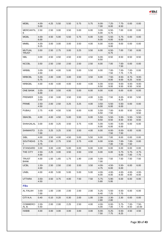| <b>MDBL</b>                   | $4.00 -$<br>5.00 | 4.25 | 5.50 | 5.50 | 5.75 | 5.75 | $6.00 -$<br>7.00 | $7.25 -$<br>8.00 | $7.75 -$<br>8.50 | 0.00             | 0.00              |
|-------------------------------|------------------|------|------|------|------|------|------------------|------------------|------------------|------------------|-------------------|
| <b>MERCANTIL</b><br>Е         | 2.50             | 2.50 | 3.00 | 3.50 | 5.00 | 6.00 | $3.00 -$<br>6.00 | $6.50 -$<br>6.75 | 7.00             | 0.00             | 0.00              |
| <b>MGBL</b>                   | $4.00 -$<br>6.00 | 4.50 | 5.00 | 5.50 | 5.75 | 6.00 | $5.00 -$<br>6.00 | $5.50 -$<br>6.00 | $5.75 -$<br>6.00 | 0.00             | 0.00              |
| MMBL                          | $4.00 -$<br>9.25 | 3.00 | 3.00 | 3.00 | 3.50 | 4.00 | 6.00             | $8.00 -$<br>9.00 | 9.00             | 0.00             | 0.00              |
| <b>MUTUAL</b><br><b>TRUST</b> | 3.50             | 2.50 | 2.75 | 3.00 | 3.25 | 3.50 | 6.00             | $6.50 -$<br>6.75 | 7.00             | 7.50             | 8.00              |
| <b>NBL</b>                    | 3.00             | 4.50 | 4.50 | 4.50 | 4.50 | 4.50 | $6.00 -$<br>8.50 | 8.50             | 8.50             | 8.50             | 8.50              |
| <b>NCCBL</b>                  | 3.50             | 2.50 | 2.50 | 2.50 | 2.50 | 2.50 | 6.00             | 7.00             | $7.00 -$<br>7.50 | 0.00             | 0.00              |
| <b>NRBBL</b>                  | $3.00 -$<br>4.50 | 3.00 | 4.00 | 5.00 | 5.00 | 5.50 | 6.00             | $7.00 -$<br>7.50 | $7.00 -$<br>7.75 | $7.00 -$<br>7.75 | 0.00              |
| <b>NRBCBL</b>                 | $5.00 -$<br>5.75 | 2.00 | 3.00 | 3.00 | 3.50 | 3.50 | 6.00             | $7.50 -$<br>8.00 | $8.50 -$<br>9.00 | $8.75 -$<br>9.25 | $9.00 -$<br>9.50  |
| <b>NRBGBL</b>                 | 4.00             | 4.00 | 4.00 | 4.00 | 4.00 | 4.00 | $6.00 -$<br>6.50 | $8.50 -$<br>9.00 | $9.00 -$<br>9.50 | $9.00 -$<br>9.50 | $9.00 -$<br>9.50  |
| <b>ONE BANK</b>               | $3.55 -$<br>6.00 | 3.50 | 3.50 | 4.00 | 5.00 | 6.00 | 6.00             | 6.00             | 6.00             | 6.00             | 6.00              |
| <b>PREMIER</b>                | $3.00 -$<br>3.50 | 2.50 | 3.00 | 3.50 | 3.50 | 4.00 | $6.00 -$<br>7.50 | 7.50             | $8.00 -$<br>8.25 | 8.50             | 5.50              |
| <b>PRIME</b>                  | $2.50 -$<br>4.50 | 2.00 | 2.50 | 3.25 | 3.25 | 4.00 | $3.50 -$<br>6.00 | $5.50 -$<br>6.00 | $5.50 -$<br>6.00 | 0.00             | 0.00              |
| <b>PUBALI</b>                 | 2.75             | 4.00 | 4.50 | 5.50 | 6.00 | 6.00 | $5.50 -$<br>6.50 | $7.00 -$<br>7.50 | 8.00             | 9.50             | $8.50 -$<br>9.50  |
| <b>SBACBL</b>                 | 4.00             | 4.00 | 4.50 | 5.00 | 5.50 | 6.00 | $5.50 -$<br>8.50 | $5.50 -$<br>8.50 | $5.50 -$<br>8.50 | $5.50 -$<br>8.50 | $5.50 -$<br>8.50  |
| SHAHJALAL                     | 3.00             | 3.00 | 3.25 | 3.50 | 3.75 | 4.00 | $5.00 -$<br>6.00 | $5.00 -$<br>6.00 | $5.00 -$<br>6.00 | 6.00             | 6.00              |
| <b>SHIMANTO</b>               | $3.15 -$<br>7.00 | 3.25 | 3.25 | 3.50 | 3.50 | 4.00 | 6.00             | $6.00 -$<br>7.50 | $6.00 -$<br>7.50 | 6.00             | 6.00              |
| <b>SIBL</b>                   | 4.00             | 3.50 | 4.00 | 4.50 | 5.00 | 5.50 | 6.00             | 7.00             | 8.00             | 0.00             | 0.00              |
| <b>SOUTHEAS</b><br>T.         | $2.75 -$<br>3.75 | 2.50 | 2.75 | 3.50 | 3.75 | 4.00 | 6.00             | $6.50 -$<br>7.00 | $7.00 -$<br>7.50 | $7.00 -$<br>7.50 | 0.00              |
| STANDARD                      | 3.00             | 3.00 | 4.00 | 5.00 | 6.00 | 6.00 | 6.00             | 6.00             | 6.00             | 6.00             | 0.00              |
| THE CITY                      | $2.50 -$<br>4.00 | 2.25 | 3.00 | 3.50 | 3.50 | 3.50 | 6.00             | 6.00             | $5.75 -$<br>6.00 | $5.75 -$<br>7.00 | 4.75-<br>7.75     |
| <b>TRUST</b><br><b>BANK</b>   | 4.00             | 1.50 | 1.65 | 1.75 | 1.90 | 2.00 | $5.00 -$<br>7.00 | 7.50             | 7.50             | 7.50             | 7.50              |
| <b>UCBL</b>                   | $1.50 -$<br>4.00 | 2.50 | 2.50 | 2.50 | 3.50 | 3.50 | 4.00-<br>4.75    | $4.50 -$<br>6.00 | $5.50 -$<br>6.00 | 6.00             | 6.00              |
| <b>UNBL</b>                   | 4.00             | 4.00 | 5.00 | 5.00 | 5.00 | 5.00 | $4.00 -$<br>6.00 | $4.00 -$<br>8.00 | $4.00 -$<br>8.00 | $4.00 -$<br>8.00 | $4.00 -$<br>8.00  |
| <b>UTTARA</b>                 | $3.50 -$<br>4.50 | 3.50 | 3.75 | 4.00 | 7.50 | 7.50 | $5.75 -$<br>5.80 | $5.90 -$<br>5.95 | 6.00             | 6.00             | 0.00              |
| <b>FBs</b>                    |                  |      |      |      |      |      |                  |                  |                  |                  |                   |
| AL FALAH                      | $3.00 -$<br>7.00 | 1.00 | 2.00 | 2.00 | 2.00 | 2.00 | $5.25 -$<br>6.40 | $5.50 -$<br>7.25 | $6.50 -$<br>7.75 | 6.00             | 6.00              |
| CITI N.A.                     | 0.40             | 0.10 | 0.20 | 0.30 | 2.00 | 1.00 | $2.30 -$<br>2.80 | $2.30 -$<br>2.80 | 2.30             | 0.00             | 0.00              |
| <b>COMMERCI</b><br>AL B.      | $2.00 -$<br>5.50 | 2.00 | 2.00 | 2.25 | 2.50 | 4.00 | $4.00 -$<br>5.00 | $6.00 -$<br>7.00 | $5.75 -$<br>7.70 | $7.00 -$<br>8.50 | $7.50 -$<br>10.00 |

7.50

6.25- 7.75

6.50- 8.25

HABIB 4.00 3.00 3.00 3.00 3.00 3.00 6.00-

Page **33** of **43**

 $I<sub>1</sub>$ DLC

4.50 4.50